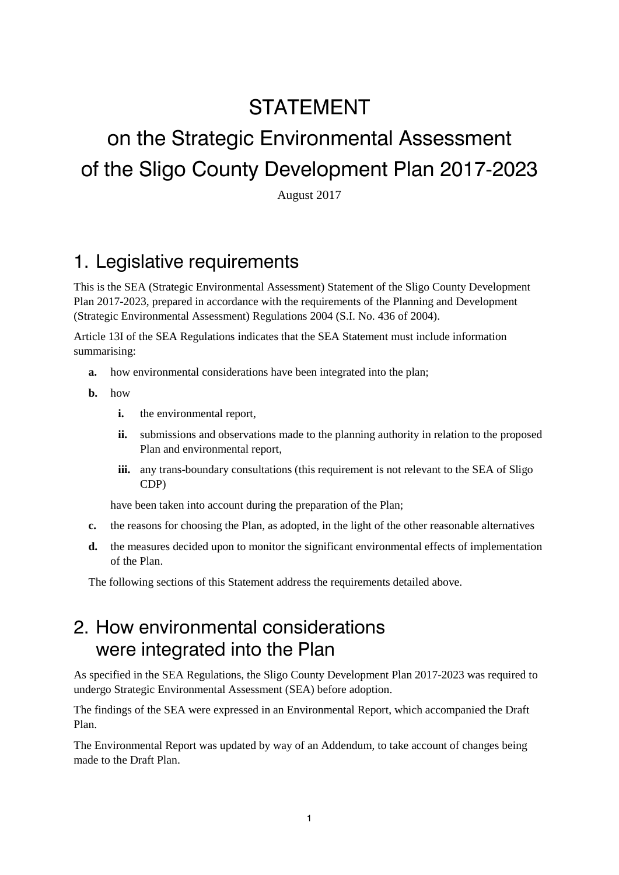## STATEMENT

# on the Strategic Environmental Assessment of the Sligo County Development Plan 2017-2023

August 2017

### 1. Legislative requirements

This is the SEA (Strategic Environmental Assessment) Statement of the Sligo County Development Plan 2017-2023, prepared in accordance with the requirements of the Planning and Development (Strategic Environmental Assessment) Regulations 2004 (S.I. No. 436 of 2004).

Article 13I of the SEA Regulations indicates that the SEA Statement must include information summarising:

- **a.** how environmental considerations have been integrated into the plan;
- **b.** how
	- **i.** the environmental report,
	- **ii.** submissions and observations made to the planning authority in relation to the proposed Plan and environmental report,
	- **iii.** any trans-boundary consultations (this requirement is not relevant to the SEA of Sligo CDP)

have been taken into account during the preparation of the Plan;

- **c.** the reasons for choosing the Plan, as adopted, in the light of the other reasonable alternatives
- **d.** the measures decided upon to monitor the significant environmental effects of implementation of the Plan.

The following sections of this Statement address the requirements detailed above.

## 2. How environmental considerations were integrated into the Plan

As specified in the SEA Regulations, the Sligo County Development Plan 2017-2023 was required to undergo Strategic Environmental Assessment (SEA) before adoption.

The findings of the SEA were expressed in an Environmental Report, which accompanied the Draft Plan.

The Environmental Report was updated by way of an Addendum, to take account of changes being made to the Draft Plan.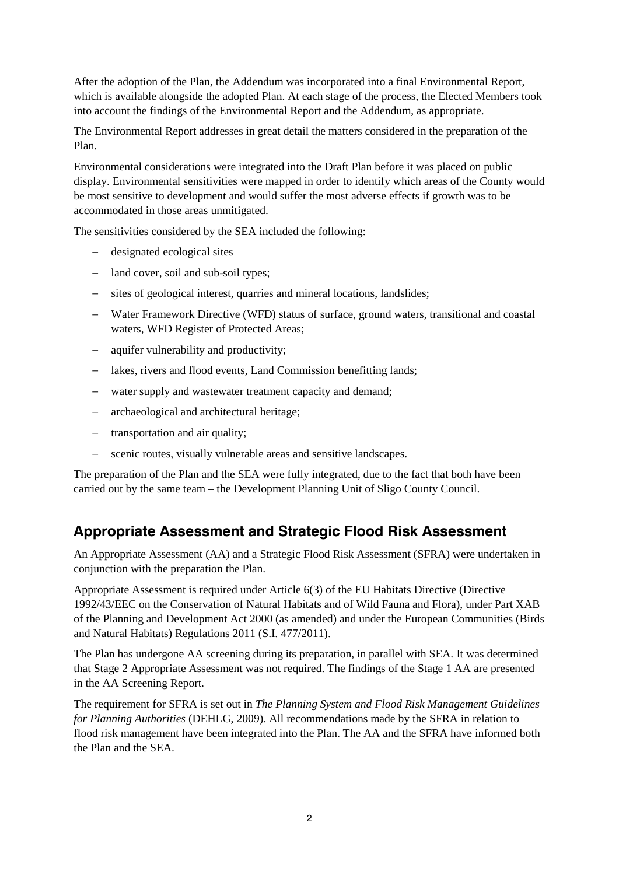After the adoption of the Plan, the Addendum was incorporated into a final Environmental Report, which is available alongside the adopted Plan. At each stage of the process, the Elected Members took into account the findings of the Environmental Report and the Addendum, as appropriate.

The Environmental Report addresses in great detail the matters considered in the preparation of the Plan.

Environmental considerations were integrated into the Draft Plan before it was placed on public display. Environmental sensitivities were mapped in order to identify which areas of the County would be most sensitive to development and would suffer the most adverse effects if growth was to be accommodated in those areas unmitigated.

The sensitivities considered by the SEA included the following:

- designated ecological sites
- land cover, soil and sub-soil types;
- sites of geological interest, quarries and mineral locations, landslides;
- Water Framework Directive (WFD) status of surface, ground waters, transitional and coastal waters, WFD Register of Protected Areas;
- aquifer vulnerability and productivity;
- lakes, rivers and flood events, Land Commission benefitting lands;
- water supply and wastewater treatment capacity and demand;
- archaeological and architectural heritage;
- transportation and air quality;
- scenic routes, visually vulnerable areas and sensitive landscapes.

The preparation of the Plan and the SEA were fully integrated, due to the fact that both have been carried out by the same team – the Development Planning Unit of Sligo County Council.

#### **Appropriate Assessment and Strategic Flood Risk Assessment**

An Appropriate Assessment (AA) and a Strategic Flood Risk Assessment (SFRA) were undertaken in conjunction with the preparation the Plan.

Appropriate Assessment is required under Article 6(3) of the EU Habitats Directive (Directive 1992/43/EEC on the Conservation of Natural Habitats and of Wild Fauna and Flora), under Part XAB of the Planning and Development Act 2000 (as amended) and under the European Communities (Birds and Natural Habitats) Regulations 2011 (S.I. 477/2011).

The Plan has undergone AA screening during its preparation, in parallel with SEA. It was determined that Stage 2 Appropriate Assessment was not required. The findings of the Stage 1 AA are presented in the AA Screening Report.

The requirement for SFRA is set out in *The Planning System and Flood Risk Management Guidelines for Planning Authorities* (DEHLG, 2009). All recommendations made by the SFRA in relation to flood risk management have been integrated into the Plan. The AA and the SFRA have informed both the Plan and the SEA.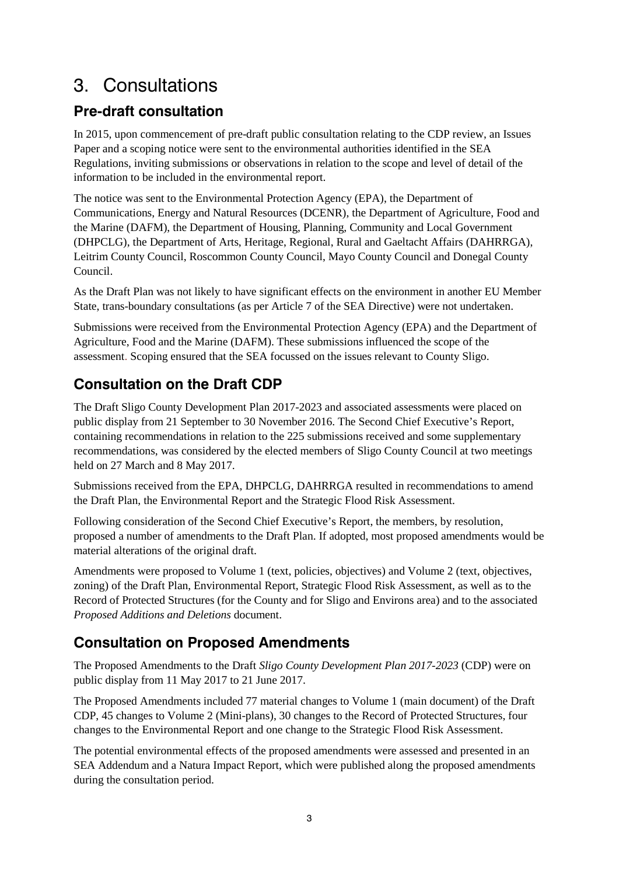## 3. Consultations

#### **Pre-draft consultation**

In 2015, upon commencement of pre-draft public consultation relating to the CDP review, an Issues Paper and a scoping notice were sent to the environmental authorities identified in the SEA Regulations, inviting submissions or observations in relation to the scope and level of detail of the information to be included in the environmental report.

The notice was sent to the Environmental Protection Agency (EPA), the Department of Communications, Energy and Natural Resources (DCENR), the Department of Agriculture, Food and the Marine (DAFM), the Department of Housing, Planning, Community and Local Government (DHPCLG), the Department of Arts, Heritage, Regional, Rural and Gaeltacht Affairs (DAHRRGA), Leitrim County Council, Roscommon County Council, Mayo County Council and Donegal County Council.

As the Draft Plan was not likely to have significant effects on the environment in another EU Member State, trans-boundary consultations (as per Article 7 of the SEA Directive) were not undertaken.

Submissions were received from the Environmental Protection Agency (EPA) and the Department of Agriculture, Food and the Marine (DAFM). These submissions influenced the scope of the assessment. Scoping ensured that the SEA focussed on the issues relevant to County Sligo.

#### **Consultation on the Draft CDP**

The Draft Sligo County Development Plan 2017-2023 and associated assessments were placed on public display from 21 September to 30 November 2016. The Second Chief Executive's Report, containing recommendations in relation to the 225 submissions received and some supplementary recommendations, was considered by the elected members of Sligo County Council at two meetings held on 27 March and 8 May 2017.

Submissions received from the EPA, DHPCLG, DAHRRGA resulted in recommendations to amend the Draft Plan, the Environmental Report and the Strategic Flood Risk Assessment.

Following consideration of the Second Chief Executive's Report, the members, by resolution, proposed a number of amendments to the Draft Plan. If adopted, most proposed amendments would be material alterations of the original draft.

Amendments were proposed to Volume 1 (text, policies, objectives) and Volume 2 (text, objectives, zoning) of the Draft Plan, Environmental Report, Strategic Flood Risk Assessment, as well as to the Record of Protected Structures (for the County and for Sligo and Environs area) and to the associated *Proposed Additions and Deletions* document.

#### **Consultation on Proposed Amendments**

The Proposed Amendments to the Draft *Sligo County Development Plan 2017-2023* (CDP) were on public display from 11 May 2017 to 21 June 2017.

The Proposed Amendments included 77 material changes to Volume 1 (main document) of the Draft CDP, 45 changes to Volume 2 (Mini-plans), 30 changes to the Record of Protected Structures, four changes to the Environmental Report and one change to the Strategic Flood Risk Assessment.

The potential environmental effects of the proposed amendments were assessed and presented in an SEA Addendum and a Natura Impact Report, which were published along the proposed amendments during the consultation period.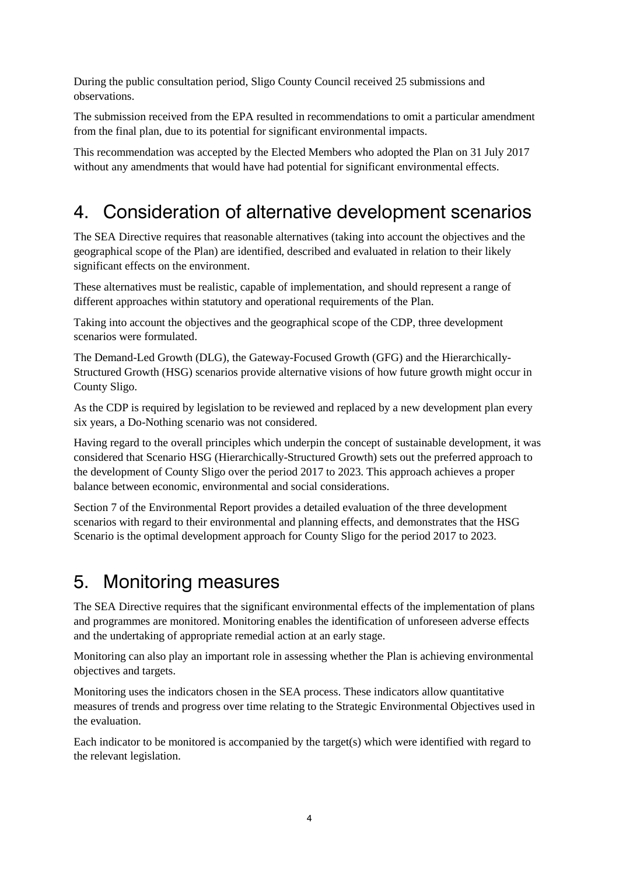During the public consultation period, Sligo County Council received 25 submissions and observations.

The submission received from the EPA resulted in recommendations to omit a particular amendment from the final plan, due to its potential for significant environmental impacts.

This recommendation was accepted by the Elected Members who adopted the Plan on 31 July 2017 without any amendments that would have had potential for significant environmental effects.

## 4. Consideration of alternative development scenarios

The SEA Directive requires that reasonable alternatives (taking into account the objectives and the geographical scope of the Plan) are identified, described and evaluated in relation to their likely significant effects on the environment.

These alternatives must be realistic, capable of implementation, and should represent a range of different approaches within statutory and operational requirements of the Plan.

Taking into account the objectives and the geographical scope of the CDP, three development scenarios were formulated.

The Demand-Led Growth (DLG), the Gateway-Focused Growth (GFG) and the Hierarchically-Structured Growth (HSG) scenarios provide alternative visions of how future growth might occur in County Sligo.

As the CDP is required by legislation to be reviewed and replaced by a new development plan every six years, a Do-Nothing scenario was not considered.

Having regard to the overall principles which underpin the concept of sustainable development, it was considered that Scenario HSG (Hierarchically-Structured Growth) sets out the preferred approach to the development of County Sligo over the period 2017 to 2023. This approach achieves a proper balance between economic, environmental and social considerations.

Section 7 of the Environmental Report provides a detailed evaluation of the three development scenarios with regard to their environmental and planning effects, and demonstrates that the HSG Scenario is the optimal development approach for County Sligo for the period 2017 to 2023.

## 5. Monitoring measures

The SEA Directive requires that the significant environmental effects of the implementation of plans and programmes are monitored. Monitoring enables the identification of unforeseen adverse effects and the undertaking of appropriate remedial action at an early stage.

Monitoring can also play an important role in assessing whether the Plan is achieving environmental objectives and targets.

Monitoring uses the indicators chosen in the SEA process. These indicators allow quantitative measures of trends and progress over time relating to the Strategic Environmental Objectives used in the evaluation.

Each indicator to be monitored is accompanied by the target(s) which were identified with regard to the relevant legislation.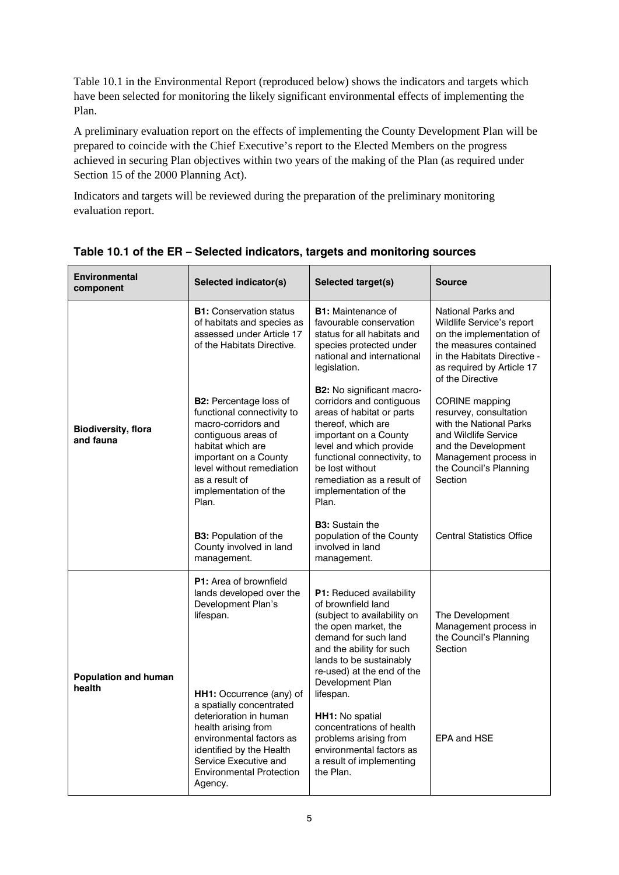Table 10.1 in the Environmental Report (reproduced below) shows the indicators and targets which have been selected for monitoring the likely significant environmental effects of implementing the Plan.

A preliminary evaluation report on the effects of implementing the County Development Plan will be prepared to coincide with the Chief Executive's report to the Elected Members on the progress achieved in securing Plan objectives within two years of the making of the Plan (as required under Section 15 of the 2000 Planning Act).

Indicators and targets will be reviewed during the preparation of the preliminary monitoring evaluation report.

| <b>Environmental</b><br>component       | Selected indicator(s)                                                                                                                                                                                                                    | Selected target(s)                                                                                                                                                                                                                                                                    | <b>Source</b>                                                                                                                                                                           |
|-----------------------------------------|------------------------------------------------------------------------------------------------------------------------------------------------------------------------------------------------------------------------------------------|---------------------------------------------------------------------------------------------------------------------------------------------------------------------------------------------------------------------------------------------------------------------------------------|-----------------------------------------------------------------------------------------------------------------------------------------------------------------------------------------|
| <b>Biodiversity, flora</b><br>and fauna | <b>B1:</b> Conservation status<br>of habitats and species as<br>assessed under Article 17<br>of the Habitats Directive.                                                                                                                  | <b>B1:</b> Maintenance of<br>favourable conservation<br>status for all habitats and<br>species protected under<br>national and international<br>legislation.                                                                                                                          | National Parks and<br>Wildlife Service's report<br>on the implementation of<br>the measures contained<br>in the Habitats Directive -<br>as required by Article 17<br>of the Directive   |
|                                         | <b>B2: Percentage loss of</b><br>functional connectivity to<br>macro-corridors and<br>contiguous areas of<br>habitat which are<br>important on a County<br>level without remediation<br>as a result of<br>implementation of the<br>Plan. | <b>B2:</b> No significant macro-<br>corridors and contiguous<br>areas of habitat or parts<br>thereof, which are<br>important on a County<br>level and which provide<br>functional connectivity, to<br>be lost without<br>remediation as a result of<br>implementation of the<br>Plan. | <b>CORINE</b> mapping<br>resurvey, consultation<br>with the National Parks<br>and Wildlife Service<br>and the Development<br>Management process in<br>the Council's Planning<br>Section |
|                                         | <b>B3: Population of the</b><br>County involved in land<br>management.                                                                                                                                                                   | <b>B3:</b> Sustain the<br>population of the County<br>involved in land<br>management.                                                                                                                                                                                                 | <b>Central Statistics Office</b>                                                                                                                                                        |
| <b>Population and human</b><br>health   | <b>P1:</b> Area of brownfield<br>lands developed over the<br>Development Plan's<br>lifespan.                                                                                                                                             | P1: Reduced availability<br>of brownfield land<br>(subject to availability on<br>the open market, the<br>demand for such land<br>and the ability for such<br>lands to be sustainably<br>re-used) at the end of the<br>Development Plan                                                | The Development<br>Management process in<br>the Council's Planning<br>Section                                                                                                           |
|                                         | HH1: Occurrence (any) of<br>a spatially concentrated<br>deterioration in human<br>health arising from<br>environmental factors as<br>identified by the Health<br>Service Executive and<br><b>Environmental Protection</b><br>Agency.     | lifespan.<br>HH1: No spatial<br>concentrations of health<br>problems arising from<br>environmental factors as<br>a result of implementing<br>the Plan.                                                                                                                                | EPA and HSE                                                                                                                                                                             |

|  |  | Table 10.1 of the ER – Selected indicators, targets and monitoring sources |
|--|--|----------------------------------------------------------------------------|
|  |  |                                                                            |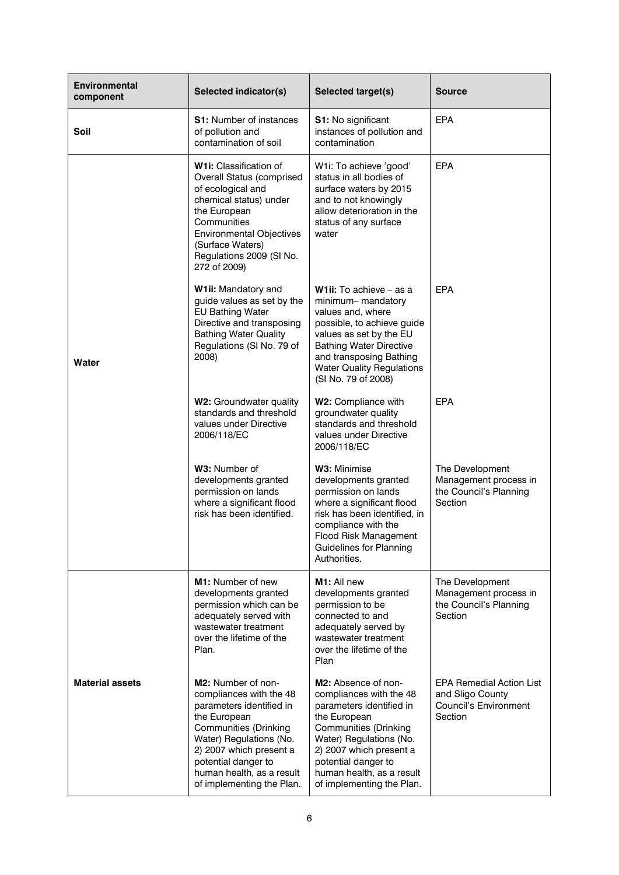| <b>Environmental</b><br>component | Selected indicator(s)                                                                                                                                                                                                                                            | Selected target(s)                                                                                                                                                                                                                                                       | Source                                                                                  |
|-----------------------------------|------------------------------------------------------------------------------------------------------------------------------------------------------------------------------------------------------------------------------------------------------------------|--------------------------------------------------------------------------------------------------------------------------------------------------------------------------------------------------------------------------------------------------------------------------|-----------------------------------------------------------------------------------------|
| Soil                              | <b>S1:</b> Number of instances<br>of pollution and<br>contamination of soil                                                                                                                                                                                      | <b>S1: No significant</b><br>instances of pollution and<br>contamination                                                                                                                                                                                                 | <b>EPA</b>                                                                              |
| Water                             | <b>W1i:</b> Classification of<br>Overall Status (comprised<br>of ecological and<br>chemical status) under<br>the European<br>Communities<br><b>Environmental Objectives</b><br>(Surface Waters)<br>Regulations 2009 (SI No.<br>272 of 2009)                      | W1i: To achieve 'good'<br>status in all bodies of<br>surface waters by 2015<br>and to not knowingly<br>allow deterioration in the<br>status of any surface<br>water                                                                                                      | <b>EPA</b>                                                                              |
|                                   | W1ii: Mandatory and<br>guide values as set by the<br><b>EU Bathing Water</b><br>Directive and transposing<br><b>Bathing Water Quality</b><br>Regulations (SI No. 79 of<br>2008)                                                                                  | <b>W1ii:</b> To achieve $-$ as a<br>minimum- mandatory<br>values and, where<br>possible, to achieve guide<br>values as set by the EU<br><b>Bathing Water Directive</b><br>and transposing Bathing<br><b>Water Quality Regulations</b><br>(SI No. 79 of 2008)             | <b>EPA</b>                                                                              |
|                                   | W2: Groundwater quality<br>standards and threshold<br>values under Directive<br>2006/118/EC                                                                                                                                                                      | W2: Compliance with<br>groundwater quality<br>standards and threshold<br>values under Directive<br>2006/118/EC                                                                                                                                                           | <b>EPA</b>                                                                              |
|                                   | W3: Number of<br>developments granted<br>permission on lands<br>where a significant flood<br>risk has been identified.                                                                                                                                           | W3: Minimise<br>developments granted<br>permission on lands<br>where a significant flood<br>risk has been identified, in<br>compliance with the<br>Flood Risk Management<br><b>Guidelines for Planning</b><br>Authorities.                                               | The Development<br>Management process in<br>the Council's Planning<br>Section           |
|                                   | <b>M1:</b> Number of new<br>developments granted<br>permission which can be<br>adequately served with<br>wastewater treatment<br>over the lifetime of the<br>Plan.                                                                                               | M <sub>1</sub> : All new<br>developments granted<br>permission to be<br>connected to and<br>adequately served by<br>wastewater treatment<br>over the lifetime of the<br>Plan                                                                                             | The Development<br>Management process in<br>the Council's Planning<br>Section           |
| <b>Material assets</b>            | M2: Number of non-<br>compliances with the 48<br>parameters identified in<br>the European<br><b>Communities (Drinking</b><br>Water) Regulations (No.<br>2) 2007 which present a<br>potential danger to<br>human health, as a result<br>of implementing the Plan. | <b>M2:</b> Absence of non-<br>compliances with the 48<br>parameters identified in<br>the European<br><b>Communities (Drinking</b><br>Water) Regulations (No.<br>2) 2007 which present a<br>potential danger to<br>human health, as a result<br>of implementing the Plan. | <b>EPA Remedial Action List</b><br>and Sligo County<br>Council's Environment<br>Section |